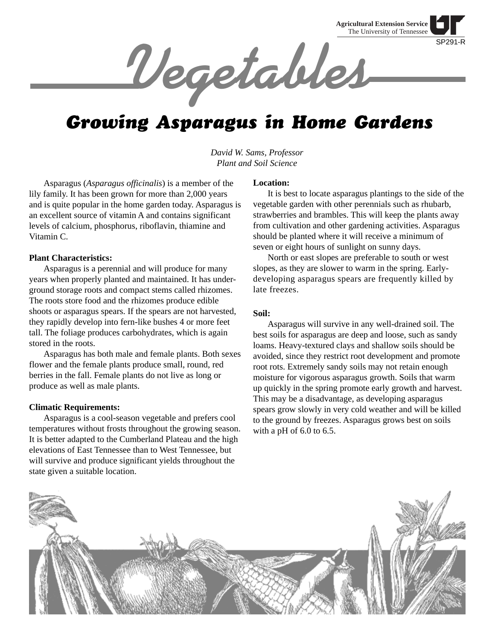**Agricultural Extension Service** The University of Tennessee SP291-R

**Vegetables**

# Growing Asparagus in Home Gardens

*David W. Sams, Professor Plant and Soil Science*

Asparagus (*Asparagus officinalis*) is a member of the lily family. It has been grown for more than 2,000 years and is quite popular in the home garden today. Asparagus is an excellent source of vitamin A and contains significant levels of calcium, phosphorus, riboflavin, thiamine and Vitamin C.

## **Plant Characteristics:**

Asparagus is a perennial and will produce for many years when properly planted and maintained. It has underground storage roots and compact stems called rhizomes. The roots store food and the rhizomes produce edible shoots or asparagus spears. If the spears are not harvested, they rapidly develop into fern-like bushes 4 or more feet tall. The foliage produces carbohydrates, which is again stored in the roots.

Asparagus has both male and female plants. Both sexes flower and the female plants produce small, round, red berries in the fall. Female plants do not live as long or produce as well as male plants.

# **Climatic Requirements:**

Asparagus is a cool-season vegetable and prefers cool temperatures without frosts throughout the growing season. It is better adapted to the Cumberland Plateau and the high elevations of East Tennessee than to West Tennessee, but will survive and produce significant yields throughout the state given a suitable location.

## **Location:**

It is best to locate asparagus plantings to the side of the vegetable garden with other perennials such as rhubarb, strawberries and brambles. This will keep the plants away from cultivation and other gardening activities. Asparagus should be planted where it will receive a minimum of seven or eight hours of sunlight on sunny days.

North or east slopes are preferable to south or west slopes, as they are slower to warm in the spring. Earlydeveloping asparagus spears are frequently killed by late freezes.

#### **Soil:**

Asparagus will survive in any well-drained soil. The best soils for asparagus are deep and loose, such as sandy loams. Heavy-textured clays and shallow soils should be avoided, since they restrict root development and promote root rots. Extremely sandy soils may not retain enough moisture for vigorous asparagus growth. Soils that warm up quickly in the spring promote early growth and harvest. This may be a disadvantage, as developing asparagus spears grow slowly in very cold weather and will be killed to the ground by freezes. Asparagus grows best on soils with a pH of 6.0 to 6.5.

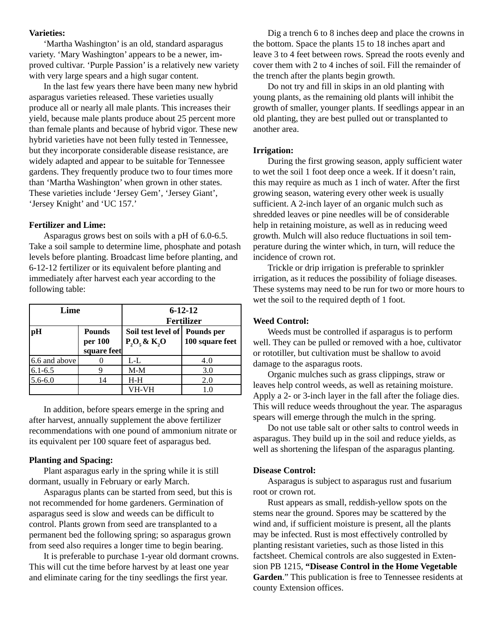### **Varieties:**

'Martha Washington' is an old, standard asparagus variety. 'Mary Washington' appears to be a newer, improved cultivar. 'Purple Passion' is a relatively new variety with very large spears and a high sugar content.

In the last few years there have been many new hybrid asparagus varieties released. These varieties usually produce all or nearly all male plants. This increases their yield, because male plants produce about 25 percent more than female plants and because of hybrid vigor. These new hybrid varieties have not been fully tested in Tennessee, but they incorporate considerable disease resistance, are widely adapted and appear to be suitable for Tennessee gardens. They frequently produce two to four times more than 'Martha Washington' when grown in other states. These varieties include 'Jersey Gem', 'Jersey Giant', 'Jersey Knight' and 'UC 157.'

## **Fertilizer and Lime:**

Asparagus grows best on soils with a pH of 6.0-6.5. Take a soil sample to determine lime, phosphate and potash levels before planting. Broadcast lime before planting, and 6-12-12 fertilizer or its equivalent before planting and immediately after harvest each year according to the following table:

| Lime          |                                         | $6 - 12 - 12$<br><b>Fertilizer</b>                             |                 |
|---------------|-----------------------------------------|----------------------------------------------------------------|-----------------|
| pH            | <b>Pounds</b><br>per 100<br>square feet | Soil test level of   Pounds per<br>$P_2O_5$ & K <sub>2</sub> O | 100 square feet |
| 6.6 and above |                                         | L-L                                                            | 4.0             |
| $6.1 - 6.5$   |                                         | $M-M$                                                          | 3.0             |
| $5.6 - 6.0$   | 14                                      | $H-H$                                                          | 2.0             |
|               |                                         | VH-VH                                                          |                 |

In addition, before spears emerge in the spring and after harvest, annually supplement the above fertilizer recommendations with one pound of ammonium nitrate or its equivalent per 100 square feet of asparagus bed.

# **Planting and Spacing:**

Plant asparagus early in the spring while it is still dormant, usually in February or early March.

Asparagus plants can be started from seed, but this is not recommended for home gardeners. Germination of asparagus seed is slow and weeds can be difficult to control. Plants grown from seed are transplanted to a permanent bed the following spring; so asparagus grown from seed also requires a longer time to begin bearing.

It is preferable to purchase 1-year old dormant crowns. This will cut the time before harvest by at least one year and eliminate caring for the tiny seedlings the first year.

Dig a trench 6 to 8 inches deep and place the crowns in the bottom. Space the plants 15 to 18 inches apart and leave 3 to 4 feet between rows. Spread the roots evenly and cover them with 2 to 4 inches of soil. Fill the remainder of the trench after the plants begin growth.

Do not try and fill in skips in an old planting with young plants, as the remaining old plants will inhibit the growth of smaller, younger plants. If seedlings appear in an old planting, they are best pulled out or transplanted to another area.

## **Irrigation:**

During the first growing season, apply sufficient water to wet the soil 1 foot deep once a week. If it doesn't rain, this may require as much as 1 inch of water. After the first growing season, watering every other week is usually sufficient. A 2-inch layer of an organic mulch such as shredded leaves or pine needles will be of considerable help in retaining moisture, as well as in reducing weed growth. Mulch will also reduce fluctuations in soil temperature during the winter which, in turn, will reduce the incidence of crown rot.

Trickle or drip irrigation is preferable to sprinkler irrigation, as it reduces the possibility of foliage diseases. These systems may need to be run for two or more hours to wet the soil to the required depth of 1 foot.

### **Weed Control:**

Weeds must be controlled if asparagus is to perform well. They can be pulled or removed with a hoe, cultivator or rototiller, but cultivation must be shallow to avoid damage to the asparagus roots.

Organic mulches such as grass clippings, straw or leaves help control weeds, as well as retaining moisture. Apply a 2- or 3-inch layer in the fall after the foliage dies. This will reduce weeds throughout the year. The asparagus spears will emerge through the mulch in the spring.

Do not use table salt or other salts to control weeds in asparagus. They build up in the soil and reduce yields, as well as shortening the lifespan of the asparagus planting.

#### **Disease Control:**

Asparagus is subject to asparagus rust and fusarium root or crown rot.

Rust appears as small, reddish-yellow spots on the stems near the ground. Spores may be scattered by the wind and, if sufficient moisture is present, all the plants may be infected. Rust is most effectively controlled by planting resistant varieties, such as those listed in this factsheet. Chemical controls are also suggested in Extension PB 1215, **"Disease Control in the Home Vegetable Garden**." This publication is free to Tennessee residents at county Extension offices.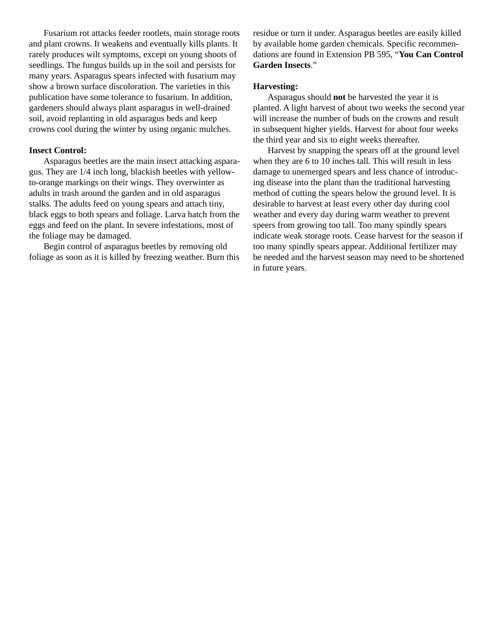Fusarium rot attacks feeder rootlets, main storage roots and plant crowns. It weakens and eventually kills plants. It rarely produces wilt symptoms, except on young shoots of seedlings. The fungus builds up in the soil and persists for many years. Asparagus spears infected with fusarium may show a brown surface discoloration. The varieties in this publication have some tolerance to fusarium. In addition, gardeners should always plant asparagus in well-drained soil, avoid replanting in old asparagus beds and keep crowns cool during the winter by using organic mulches.

#### **Insect Control:**

Asparagus beetles are the main insect attacking asparagus. They are 1/4 inch long, blackish beetles with yellowto-orange markings on their wings. They overwinter as adults in trash around the garden and in old asparagus stalks. The adults feed on young spears and attach tiny, black eggs to both spears and foliage. Larva hatch from the eggs and feed on the plant. In severe infestations, most of the foliage may be damaged.

Begin control of asparagus beetles by removing old foliage as soon as it is killed by freezing weather. Burn this residue or turn it under. Asparagus beetles are easily killed by available home garden chemicals. Specific recommendations are found in Extension PB 595, "**You Can Control Garden Insects**."

### **Harvesting:**

Asparagus should **not** be harvested the year it is planted. A light harvest of about two weeks the second year will increase the number of buds on the crowns and result in subsequent higher yields. Harvest for about four weeks the third year and six to eight weeks thereafter.

Harvest by snapping the spears off at the ground level when they are 6 to 10 inches tall. This will result in less damage to unemerged spears and less chance of introducing disease into the plant than the traditional harvesting method of cutting the spears below the ground level. It is desirable to harvest at least every other day during cool weather and every day during warm weather to prevent speers from growing too tall. Too many spindly spears indicate weak storage roots. Cease harvest for the season if too many spindly spears appear. Additional fertilizer may be needed and the harvest season may need to be shortened in future years.